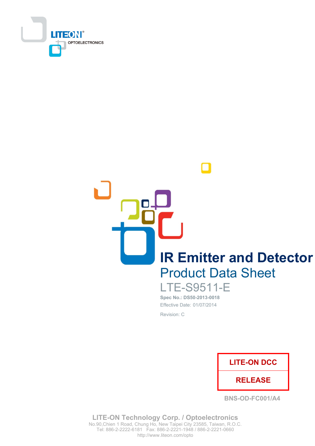

**IR Emitter and Detector Product Data Sheet** 

**LTE-S9511-E** Spec No.: DS50-2013-0018 Effective Date: 01/07/2014 Revision: C



**BNS-OD-FC001/A4** 

**LITE-ON Technology Corp. / Optoelectronics** No.90, Chien 1 Road, Chung Ho, New Taipei City 23585, Taiwan, R.O.C. Tel: 886-2-2222-6181 Fax: 886-2-2221-1948 / 886-2-2221-0660 http://www.liteon.com/opto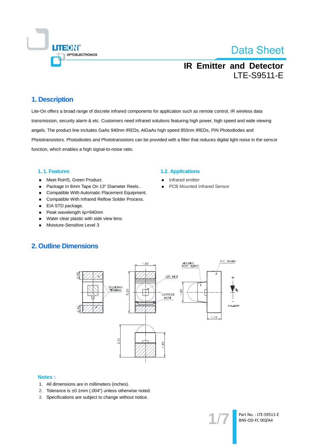

## **IR Emitter and Detector LTE-S9511-E**

### 1. Description

Lite-On offers a broad range of discrete infrared components for application such as remote control, IR wireless data transmission, security alarm & etc. Customers need infrared solutions featuring high power, high speed and wide viewing angels. The product line includes GaAs 940nm IREDs, AlGaAs high speed 850nm IREDs, PIN Photodiodes and Phototransistors. Photodiodes and Phototransistors can be provided with a filter that reduces digital light noise in the sensor function, which enables a high signal-to-noise ratio.

#### 1.1. Features

- Meet RoHS, Green Product.  $\blacksquare$
- Package In 8mm Tape On 13" Diameter Reels..  $\blacksquare$
- Compatible With Automatic Placement Equipment.
- Compatible With Infrared Reflow Solder Process.  $\blacksquare$
- EIA STD package.
- Peak wavelength λp=940nm  $\blacksquare$
- Water clear plastic with side view lens.  $\blacksquare$
- Moisture-Sensitive Level 3

#### **1.2. Applications**

- Infrared emitter
- **PCB Mounted Infrared Sensor**

### **2. Outline Dimensions**



#### **Notes:**

- 1. All dimensions are in millimeters (inches).
- 2. Tolerance is ±0.1mm (.004") unless otherwise noted.
- 3. Specifications are subject to change without notice.

Part No.: LTE-S9511-E BNS-OD-FC 002/A4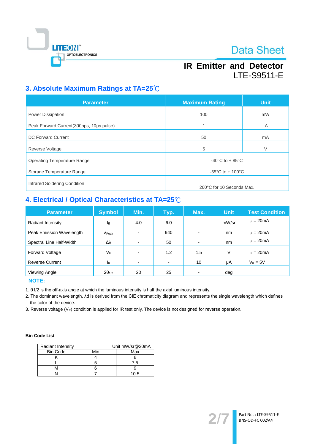

# **IR Emitter and Detector LTE-S9511-E**

### 3. Absolute Maximum Ratings at TA=25°C

| <b>Parameter</b>                         | <b>Maximum Rating</b>                  | <b>Unit</b> |
|------------------------------------------|----------------------------------------|-------------|
| Power Dissipation                        | 100                                    | mW          |
| Peak Forward Current(300pps, 10us pulse) | 1                                      | A           |
| DC Forward Current                       | 50                                     | mA          |
| Reverse Voltage                          | 5                                      | V           |
| <b>Operating Temperature Range</b>       | $-40^{\circ}$ C to + 85 $^{\circ}$ C   |             |
| Storage Temperature Range                | -55 $^{\circ}$ C to + 100 $^{\circ}$ C |             |
| Infrared Soldering Condition             | 260°C for 10 Seconds Max.              |             |

## 4. Electrical / Optical Characteristics at TA=25°C

| <b>Parameter</b>         | <b>Symbol</b>           | Min.                     | Typ.           | Max.                     | <b>Unit</b> | <b>Test Condition</b> |
|--------------------------|-------------------------|--------------------------|----------------|--------------------------|-------------|-----------------------|
| Radiant Intensity        | IΕ                      | 4.0                      | 6.0            | $\blacksquare$           | mW/sr       | $I_F = 20mA$          |
| Peak Emission Wavelength | $\Lambda_{\text{Peak}}$ |                          | 940            | $\overline{\phantom{0}}$ | nm          | $I_F = 20mA$          |
| Spectral Line Half-Width | Δλ                      |                          | 50             | $\overline{\phantom{0}}$ | nm          | $I_F = 20mA$          |
| <b>Forward Voltage</b>   | VF                      |                          | 1.2            | 1.5                      | V           | $I_F = 20mA$          |
| <b>Reverse Current</b>   | $I_{\mathsf{R}}$        | $\overline{\phantom{a}}$ | $\blacksquare$ | 10                       | μA          | $V_R = 5V$            |
| Viewing Angle            | $2\theta_{1/2}$         | 20                       | 25             |                          | deg         |                       |

**NOTE:** 

1. 01/2 is the off-axis angle at which the luminous intensity is half the axial luminous intensity.

2. The dominant wavelength, Ad is derived from the CIE chromaticity diagram and represents the single wavelength which defines the color of the device.

3. Reverse voltage  $(V_R)$  condition is applied for IR test only. The device is not designed for reverse operation.

#### **Bin Code List**

| <b>Radiant Intensity</b> |     | Unit mW/sr@20mA |
|--------------------------|-----|-----------------|
| <b>Bin Code</b>          | Min | Max             |
|                          |     |                 |
|                          |     | 7.5             |
|                          |     |                 |
|                          |     |                 |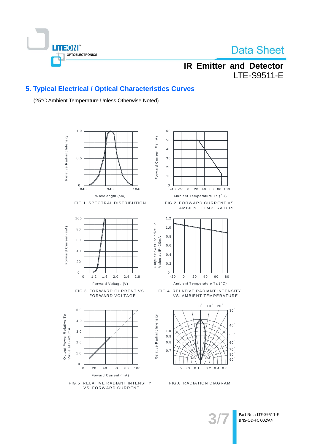

## **IR Emitter and Detector LTE-S9511-E**

### 5. Typical Electrical / Optical Characteristics Curves

(25°C Ambient Temperature Unless Otherwise Noted)



Part No.: LTE-S9511-E BNS-OD-FC 002/A4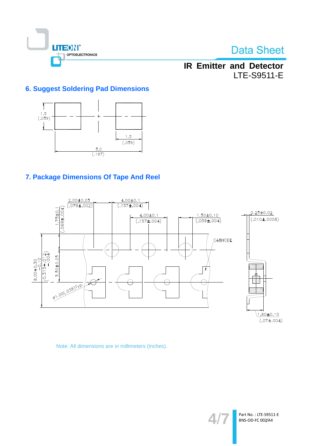

## **IR Emitter and Detector LTE-S9511-E**

### **6. Suggest Soldering Pad Dimensions**



### 7. Package Dimensions Of Tape And Reel



Note: All dimensions are in millimeters (inches).

4.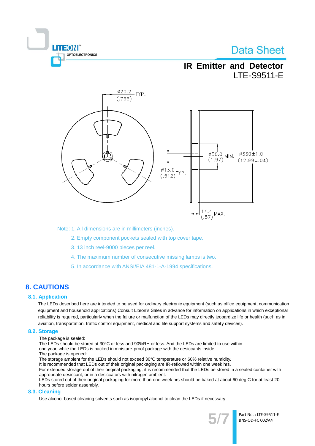

## **IR Emitter and Detector LTE-S9511-E**



Note: 1. All dimensions are in millimeters (inches).

- 2. Empty component pockets sealed with top cover tape.
- 3. 13 inch reel-9000 pieces per reel.
- 4. The maximum number of consecutive missing lamps is two.
- 5. In accordance with ANSI/EIA 481-1-A-1994 specifications.

### **8. CAUTIONS**

#### **8.1. Application**

The LEDs described here are intended to be used for ordinary electronic equipment (such as office equipment, communication equipment and household applications). Consult Liteon's Sales in advance for information on applications in which exceptional reliability is required, particularly when the failure or malfunction of the LEDs may directly jeopardize life or health (such as in aviation, transportation, traffic control equipment, medical and life support systems and safety devices).

#### 8.2. Storage

The package is sealed:

The LEDs should be stored at 30°C or less and 90%RH or less. And the LEDs are limited to use within

- one year, while the LEDs is packed in moisture-proof package with the desiccants inside.
- The package is opened:

The storage ambient for the LEDs should not exceed 30°C temperature or 60% relative humidity.

It is recommended that LEDs out of their original packaging are IR-reflowed within one week hrs.

For extended storage out of their original packaging, it is recommended that the LEDs be stored in a sealed container with appropriate desiccant, or in a desiccators with nitrogen ambient.

LEDs stored out of their original packaging for more than one week hrs should be baked at about 60 deg C for at least 20 hours before solder assembly.

#### 8.3. Cleaning

Use alcohol-based cleaning solvents such as isopropyl alcohol to clean the LEDs if necessary.



Part No.: LTE-S9511-E BNS-OD-FC 002/A4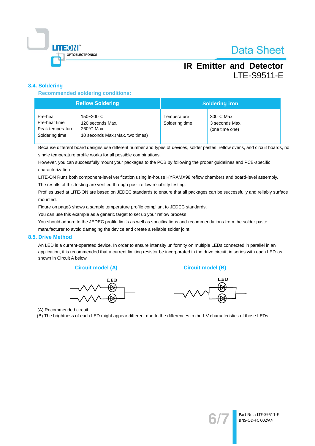

## **IR Emitter and Detector LTE-S9511-E**

#### 8.4. Soldering

**Recommended soldering conditions:** 

| <b>Reflow Soldering</b>                                         |                                                                                           | <b>Soldering iron</b>         |                                                          |  |
|-----------------------------------------------------------------|-------------------------------------------------------------------------------------------|-------------------------------|----------------------------------------------------------|--|
| Pre-heat<br>Pre-heat time<br>Peak temperature<br>Soldering time | 150~200°C<br>120 seconds Max.<br>$260^{\circ}$ C Max.<br>10 seconds Max. (Max. two times) | Temperature<br>Soldering time | $300^{\circ}$ C Max.<br>3 seconds Max.<br>(one time one) |  |

Because different board designs use different number and types of devices, solder pastes, reflow ovens, and circuit boards, no single temperature profile works for all possible combinations.

However, you can successfully mount your packages to the PCB by following the proper guidelines and PCB-specific characterization.

LITE-ON Runs both component-level verification using in-house KYRAMX98 reflow chambers and board-level assembly.

The results of this testing are verified through post-reflow reliability testing.

Profiles used at LITE-ON are based on JEDEC standards to ensure that all packages can be successfully and reliably surface mounted.

Figure on page3 shows a sample temperature profile compliant to JEDEC standards.

You can use this example as a generic target to set up your reflow process.

You should adhere to the JEDEC profile limits as well as specifications and recommendations from the solder paste manufacturer to avoid damaging the device and create a reliable solder joint.

#### 8.5. Drive Method

An LED is a current-operated device. In order to ensure intensity uniformity on multiple LEDs connected in parallel in an application, it is recommended that a current limiting resistor be incorporated in the drive circuit, in series with each LED as shown in Circuit A below.





**Circuit model (B)** 



(A) Recommended circuit

(B) The brightness of each LED might appear different due to the differences in the I-V characteristics of those LEDs.